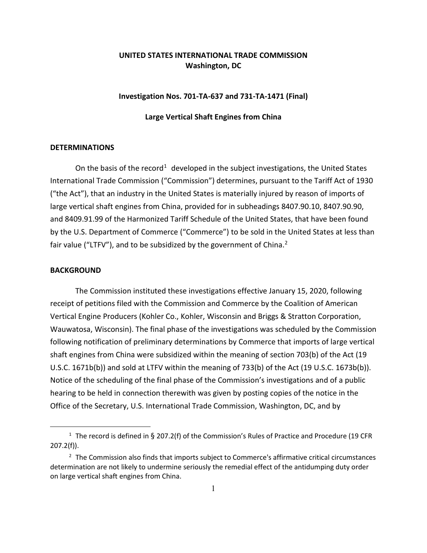# **UNITED STATES INTERNATIONAL TRADE COMMISSION Washington, DC**

## **Investigation Nos. 701-TA-637 and 731-TA-1471 (Final)**

#### **Large Vertical Shaft Engines from China**

#### **DETERMINATIONS**

On the basis of the record<sup>[1](#page-0-0)</sup> developed in the subject investigations, the United States International Trade Commission ("Commission") determines, pursuant to the Tariff Act of 1930 ("the Act"), that an industry in the United States is materially injured by reason of imports of large vertical shaft engines from China, provided for in subheadings 8407.90.10, 8407.90.90, and 8409.91.99 of the Harmonized Tariff Schedule of the United States, that have been found by the U.S. Department of Commerce ("Commerce") to be sold in the United States at less than fair value ("LTFV"), and to be subsidized by the government of China.<sup>[2](#page-0-1)</sup>

### **BACKGROUND**

The Commission instituted these investigations effective January 15, 2020, following receipt of petitions filed with the Commission and Commerce by the Coalition of American Vertical Engine Producers (Kohler Co., Kohler, Wisconsin and Briggs & Stratton Corporation, Wauwatosa, Wisconsin). The final phase of the investigations was scheduled by the Commission following notification of preliminary determinations by Commerce that imports of large vertical shaft engines from China were subsidized within the meaning of section 703(b) of the Act (19 U.S.C. 1671b(b)) and sold at LTFV within the meaning of 733(b) of the Act (19 U.S.C. 1673b(b)). Notice of the scheduling of the final phase of the Commission's investigations and of a public hearing to be held in connection therewith was given by posting copies of the notice in the Office of the Secretary, U.S. International Trade Commission, Washington, DC, and by

<span id="page-0-0"></span><sup>&</sup>lt;sup>1</sup> The record is defined in § 207.2(f) of the Commission's Rules of Practice and Procedure (19 CFR 207.2(f)).

<span id="page-0-1"></span><sup>&</sup>lt;sup>2</sup> The Commission also finds that imports subject to Commerce's affirmative critical circumstances determination are not likely to undermine seriously the remedial effect of the antidumping duty order on large vertical shaft engines from China.